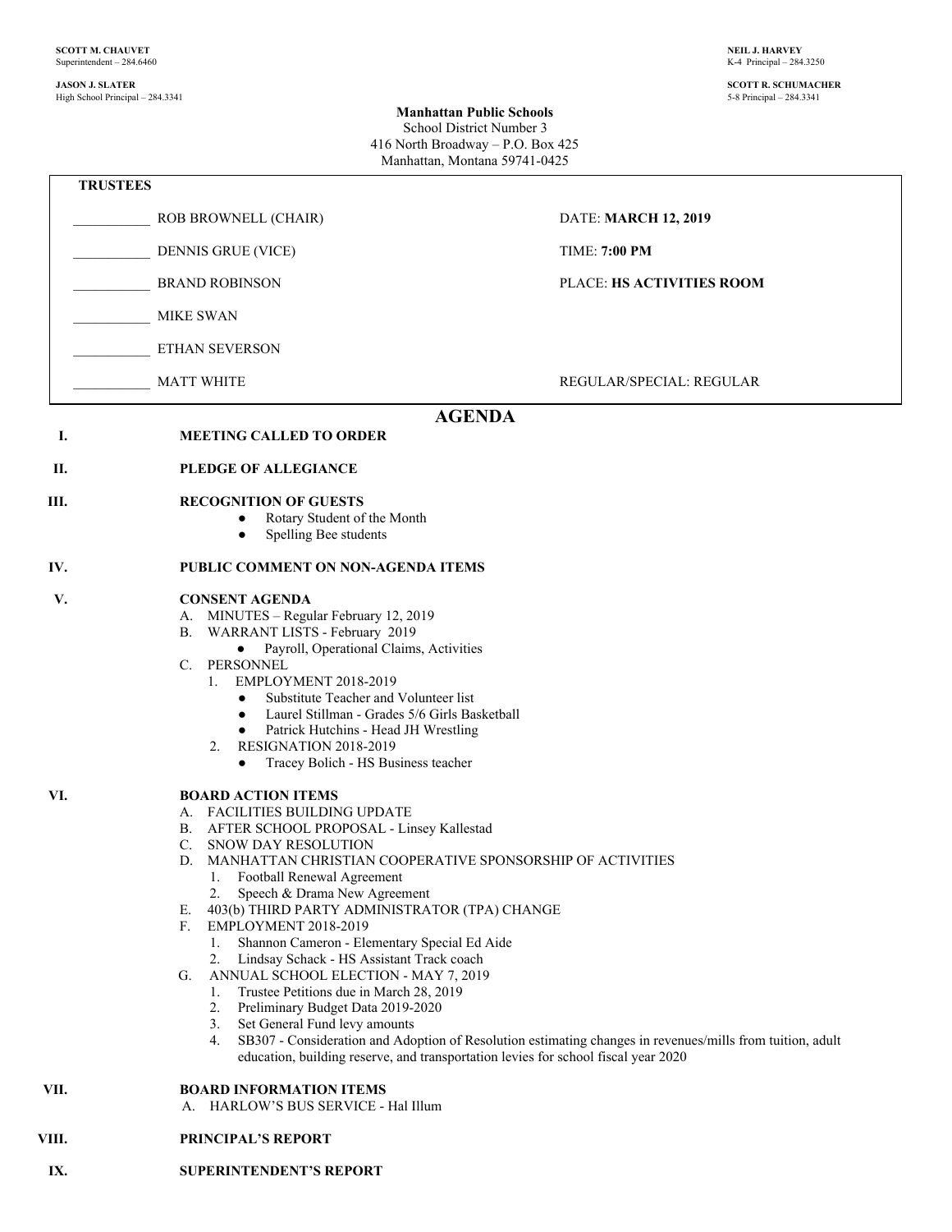**JASON J. SLATER SCOTT R. SCHUMACHER** High School Principal –  $284.3341\,$ 

**Manhattan Public Schools** School District Number 3 416 North Broadway – P.O. Box 425 Manhattan, Montana 59741-0425

|       | <b>TRUSTEES</b>                                                                                                                                                                                                                                                                                                                                                                                                                                                                                                                                                                                                                                                                                                                                                                                                                                                            |                             |
|-------|----------------------------------------------------------------------------------------------------------------------------------------------------------------------------------------------------------------------------------------------------------------------------------------------------------------------------------------------------------------------------------------------------------------------------------------------------------------------------------------------------------------------------------------------------------------------------------------------------------------------------------------------------------------------------------------------------------------------------------------------------------------------------------------------------------------------------------------------------------------------------|-----------------------------|
|       | <b>ROB BROWNELL (CHAIR)</b>                                                                                                                                                                                                                                                                                                                                                                                                                                                                                                                                                                                                                                                                                                                                                                                                                                                | <b>DATE: MARCH 12, 2019</b> |
|       | <b>DENNIS GRUE (VICE)</b>                                                                                                                                                                                                                                                                                                                                                                                                                                                                                                                                                                                                                                                                                                                                                                                                                                                  | <b>TIME: 7:00 PM</b>        |
|       | <b>BRAND ROBINSON</b>                                                                                                                                                                                                                                                                                                                                                                                                                                                                                                                                                                                                                                                                                                                                                                                                                                                      | PLACE: HS ACTIVITIES ROOM   |
|       | <b>MIKE SWAN</b>                                                                                                                                                                                                                                                                                                                                                                                                                                                                                                                                                                                                                                                                                                                                                                                                                                                           |                             |
|       | ETHAN SEVERSON                                                                                                                                                                                                                                                                                                                                                                                                                                                                                                                                                                                                                                                                                                                                                                                                                                                             |                             |
|       | <b>MATT WHITE</b>                                                                                                                                                                                                                                                                                                                                                                                                                                                                                                                                                                                                                                                                                                                                                                                                                                                          | REGULAR/SPECIAL: REGULAR    |
|       |                                                                                                                                                                                                                                                                                                                                                                                                                                                                                                                                                                                                                                                                                                                                                                                                                                                                            | <b>AGENDA</b>               |
| I.    | <b>MEETING CALLED TO ORDER</b>                                                                                                                                                                                                                                                                                                                                                                                                                                                                                                                                                                                                                                                                                                                                                                                                                                             |                             |
| П.    | PLEDGE OF ALLEGIANCE                                                                                                                                                                                                                                                                                                                                                                                                                                                                                                                                                                                                                                                                                                                                                                                                                                                       |                             |
| Ш.    | <b>RECOGNITION OF GUESTS</b><br>Rotary Student of the Month<br>$\bullet$<br>Spelling Bee students<br>٠                                                                                                                                                                                                                                                                                                                                                                                                                                                                                                                                                                                                                                                                                                                                                                     |                             |
| IV.   | PUBLIC COMMENT ON NON-AGENDA ITEMS                                                                                                                                                                                                                                                                                                                                                                                                                                                                                                                                                                                                                                                                                                                                                                                                                                         |                             |
| V.    | <b>CONSENT AGENDA</b><br>A. MINUTES - Regular February 12, 2019<br>B. WARRANT LISTS - February 2019<br>• Payroll, Operational Claims, Activities<br>PERSONNEL<br>C.<br>EMPLOYMENT 2018-2019<br>1.<br>Substitute Teacher and Volunteer list<br>$\bullet$<br>Laurel Stillman - Grades 5/6 Girls Basketball<br>$\bullet$<br>Patrick Hutchins - Head JH Wrestling<br>$\bullet$<br>RESIGNATION 2018-2019<br>2.<br>Tracey Bolich - HS Business teacher<br>٠                                                                                                                                                                                                                                                                                                                                                                                                                      |                             |
| VI.   | <b>BOARD ACTION ITEMS</b><br>A. FACILITIES BUILDING UPDATE<br>B. AFTER SCHOOL PROPOSAL - Linsey Kallestad<br>C. SNOW DAY RESOLUTION<br>MANHATTAN CHRISTIAN COOPERATIVE SPONSORSHIP OF ACTIVITIES<br>D.<br>Football Renewal Agreement<br>1.<br>Speech & Drama New Agreement<br>2.<br>403(b) THIRD PARTY ADMINISTRATOR (TPA) CHANGE<br>Е.<br>$F_{\tau}$<br>EMPLOYMENT 2018-2019<br>Shannon Cameron - Elementary Special Ed Aide<br>1.<br>2. Lindsay Schack - HS Assistant Track coach<br>ANNUAL SCHOOL ELECTION - MAY 7, 2019<br>G.<br>Trustee Petitions due in March 28, 2019<br>1.<br>Preliminary Budget Data 2019-2020<br>2.<br>3. Set General Fund levy amounts<br>SB307 - Consideration and Adoption of Resolution estimating changes in revenues/mills from tuition, adult<br>4.<br>education, building reserve, and transportation levies for school fiscal year 2020 |                             |
| VII.  | <b>BOARD INFORMATION ITEMS</b><br>A. HARLOW'S BUS SERVICE - Hal Illum                                                                                                                                                                                                                                                                                                                                                                                                                                                                                                                                                                                                                                                                                                                                                                                                      |                             |
| VIII. | <b>PRINCIPAL'S REPORT</b>                                                                                                                                                                                                                                                                                                                                                                                                                                                                                                                                                                                                                                                                                                                                                                                                                                                  |                             |
| IX.   | <b>SUPERINTENDENT'S REPORT</b>                                                                                                                                                                                                                                                                                                                                                                                                                                                                                                                                                                                                                                                                                                                                                                                                                                             |                             |